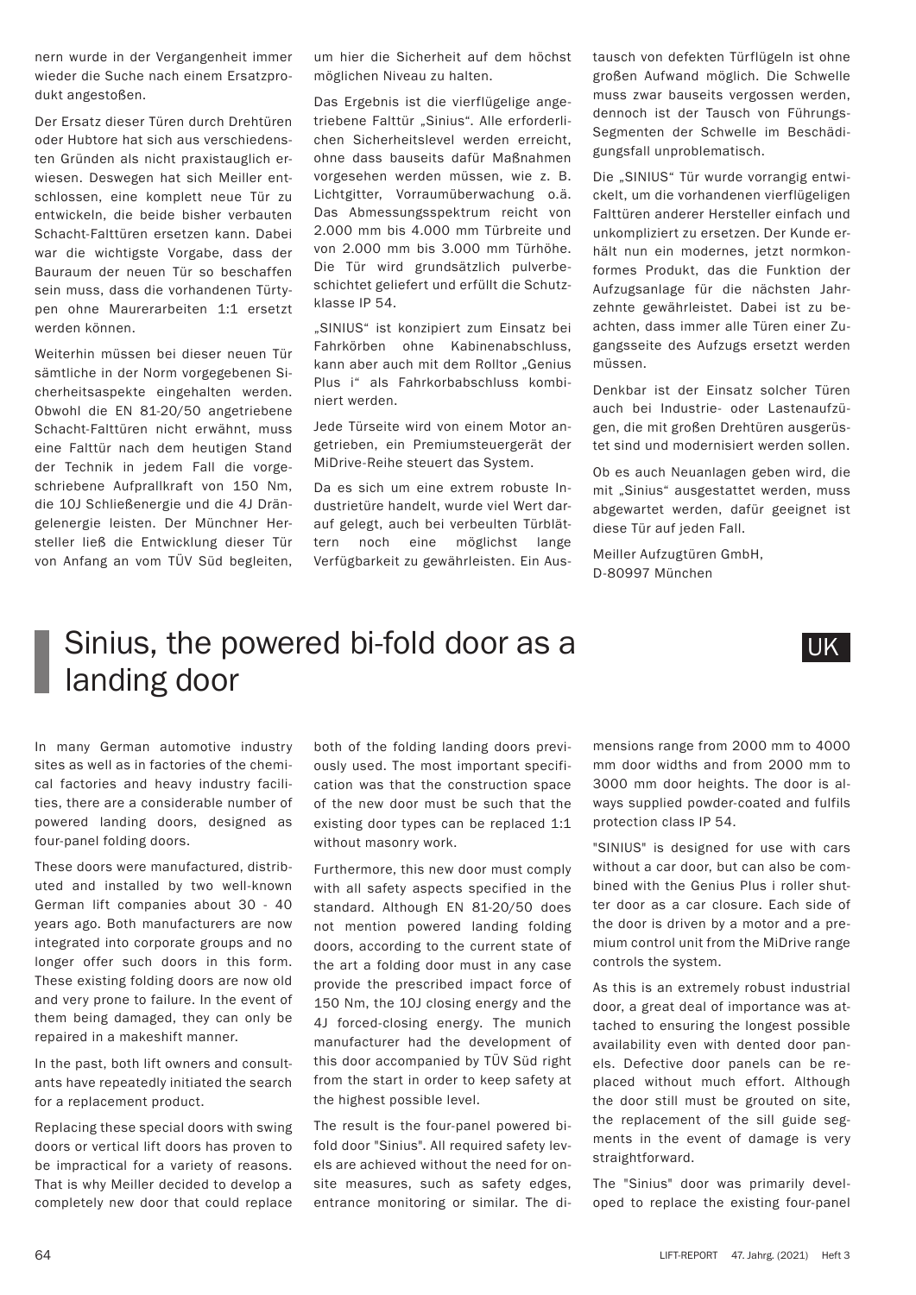## Sinius, the powered bi-fold door as a landing door

In many German automotive industry sites as well as in factories of the chemical factories and heavy industry facilities, there are a considerable number of powered landing doors, designed as four-panel folding doors.

These doors were manufactured, distributed and installed by two well-known German lift companies about 30 - 40 years ago. Both manufacturers are now integrated into corporate groups and no longer offer such doors in this form. These existing folding doors are now old and very prone to failure. In the event of them being damaged, they can only be repaired in a makeshift manner.

In the past, both lift owners and consultants have repeatedly initiated the search for a replacement product.

Replacing these special doors with swing doors or vertical lift doors has proven to be impractical for a variety of reasons. That is why Meiller decided to develop a completely new door that could replace

both of the folding landing doors previously used. The most important specification was that the construction space of the new door must be such that the existing door types can be replaced 1:1 without masonry work.

Furthermore, this new door must comply with all safety aspects specified in the standard. Although EN 81-20/50 does not mention powered landing folding doors, according to the current state of the art a folding door must in any case provide the prescribed impact force of 150 Nm, the 10J closing energy and the 4J forced-closing energy. The munich manufacturer had the development of this door accompanied by TÜV Süd right from the start in order to keep safety at the highest possible level.

The result is the four-panel powered bifold door "Sinius". All required safety levels are achieved without the need for onsite measures, such as safety edges, entrance monitoring or similar. The di-

mensions range from 2000 mm to 4000 mm door widths and from 2000 mm to 3000 mm door heights. The door is always supplied powder-coated and fulfils protection class IP 54.

"SINIUS" is designed for use with cars without a car door, but can also be combined with the Genius Plus i roller shutter door as a car closure. Each side of the door is driven by a motor and a premium control unit from the MiDrive range controls the system.

As this is an extremely robust industrial door, a great deal of importance was attached to ensuring the longest possible availability even with dented door panels. Defective door panels can be replaced without much effort. Although the door still must be grouted on site, the replacement of the sill guide segments in the event of damage is very straightforward.

The "Sinius" door was primarily developed to replace the existing four-panel